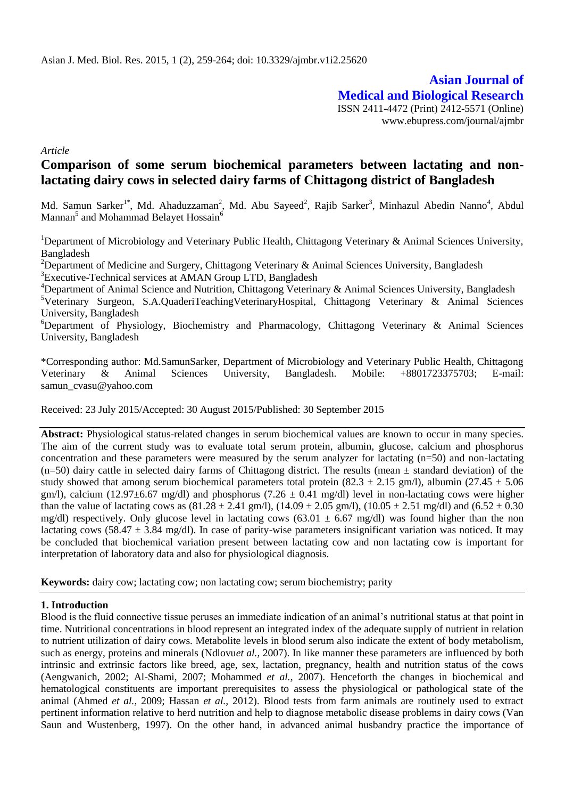**Asian Journal of Medical and Biological Research** ISSN 2411-4472 (Print) 2412-5571 (Online) www.ebupress.com/journal/ajmbr

*Article*

# **Comparison of some serum biochemical parameters between lactating and nonlactating dairy cows in selected dairy farms of Chittagong district of Bangladesh**

Md. Samun Sarker<sup>1\*</sup>, Md. Ahaduzzaman<sup>2</sup>, Md. Abu Sayeed<sup>2</sup>, Rajib Sarker<sup>3</sup>, Minhazul Abedin Nanno<sup>4</sup>, Abdul Mannan $^5$  and Mohammad Belayet Hossain $^6$ 

<sup>1</sup>Department of Microbiology and Veterinary Public Health, Chittagong Veterinary & Animal Sciences University, Bangladesh

<sup>2</sup>Department of Medicine and Surgery, Chittagong Veterinary & Animal Sciences University, Bangladesh

<sup>3</sup>Executive-Technical services at AMAN Group LTD, Bangladesh

<sup>4</sup>Department of Animal Science and Nutrition, Chittagong Veterinary & Animal Sciences University, Bangladesh <sup>5</sup>Veterinary Surgeon, S.A.QuaderiTeachingVeterinaryHospital, Chittagong Veterinary & Animal Sciences University, Bangladesh

 ${}^6$ Department of Physiology, Biochemistry and Pharmacology, Chittagong Veterinary & Animal Sciences University, Bangladesh

\*Corresponding author: Md.SamunSarker, Department of Microbiology and Veterinary Public Health, Chittagong Veterinary & Animal Sciences University, Bangladesh. Mobile: +8801723375703; E-mail: samun\_cvasu@yahoo.com

Received: 23 July 2015/Accepted: 30 August 2015/Published: 30 September 2015

**Abstract:** Physiological status-related changes in serum biochemical values are known to occur in many species. The aim of the current study was to evaluate total serum protein, albumin, glucose, calcium and phosphorus concentration and these parameters were measured by the serum analyzer for lactating (n=50) and non-lactating  $(n=50)$  dairy cattle in selected dairy farms of Chittagong district. The results (mean  $\pm$  standard deviation) of the study showed that among serum biochemical parameters total protein (82.3  $\pm$  2.15 gm/l), albumin (27.45  $\pm$  5.06 gm/l), calcium (12.97 $\pm$ 6.67 mg/dl) and phosphorus (7.26  $\pm$  0.41 mg/dl) level in non-lactating cows were higher than the value of lactating cows as  $(81.28 \pm 2.41 \text{ gm/l})$ ,  $(14.09 \pm 2.05 \text{ gm/l})$ ,  $(10.05 \pm 2.51 \text{ mg/d}$ ) and  $(6.52 \pm 0.30 \text{ gm/l})$ mg/dl) respectively. Only glucose level in lactating cows  $(63.01 \pm 6.67 \text{ mg/dl})$  was found higher than the non lactating cows (58.47  $\pm$  3.84 mg/dl). In case of parity-wise parameters insignificant variation was noticed. It may be concluded that biochemical variation present between lactating cow and non lactating cow is important for interpretation of laboratory data and also for physiological diagnosis.

**Keywords:** dairy cow; lactating cow; non lactating cow; serum biochemistry; parity

### **1. Introduction**

Blood is the fluid connective tissue peruses an immediate indication of an animal's nutritional status at that point in time. Nutritional concentrations in blood represent an integrated index of the adequate supply of nutrient in relation to nutrient utilization of dairy cows. Metabolite levels in blood serum also indicate the extent of body metabolism, such as energy, proteins and minerals (Ndlovu*et al.,* 2007). In like manner these parameters are influenced by both intrinsic and extrinsic factors like breed, age, sex, lactation, pregnancy, health and nutrition status of the cows (Aengwanich, 2002; Al-Shami, 2007; Mohammed *et al.,* 2007). Henceforth the changes in biochemical and hematological constituents are important prerequisites to assess the physiological or pathological state of the animal (Ahmed *et al.,* 2009; Hassan *et al.,* 2012). Blood tests from farm animals are routinely used to extract pertinent information relative to herd nutrition and help to diagnose metabolic disease problems in dairy cows (Van Saun and Wustenberg, 1997). On the other hand, in advanced animal husbandry practice the importance of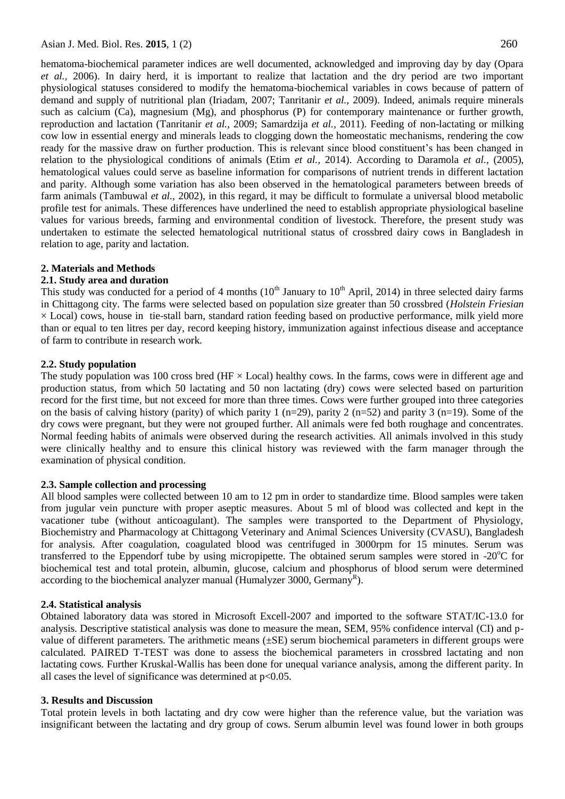hematoma-biochemical parameter indices are well documented, acknowledged and improving day by day (Opara *et al.,* 2006). In dairy herd, it is important to realize that lactation and the dry period are two important physiological statuses considered to modify the hematoma-biochemical variables in cows because of pattern of demand and supply of nutritional plan (Iriadam, 2007; Tanritanir *et al.,* 2009). Indeed, animals require minerals such as calcium (Ca), magnesium (Mg), and phosphorus (P) for contemporary maintenance or further growth, reproduction and lactation (Tanritanir *et al.,* 2009; Samardzija *et al.,* 2011). Feeding of non-lactating or milking cow low in essential energy and minerals leads to clogging down the homeostatic mechanisms, rendering the cow ready for the massive draw on further production. This is relevant since blood constituent's has been changed in relation to the physiological conditions of animals (Etim *et al.,* 2014). According to Daramola *et al.,* (2005), hematological values could serve as baseline information for comparisons of nutrient trends in different lactation and parity. Although some variation has also been observed in the hematological parameters between breeds of farm animals (Tambuwal *et al.,* 2002), in this regard, it may be difficult to formulate a universal blood metabolic profile test for animals. These differences have underlined the need to establish appropriate physiological baseline values for various breeds, farming and environmental condition of livestock. Therefore, the present study was undertaken to estimate the selected hematological nutritional status of crossbred dairy cows in Bangladesh in relation to age, parity and lactation.

### **2. Materials and Methods**

### **2.1. Study area and duration**

This study was conducted for a period of 4 months  $(10<sup>th</sup>$  January to  $10<sup>th</sup>$  April, 2014) in three selected dairy farms in Chittagong city. The farms were selected based on population size greater than 50 crossbred (*Holstein Friesian*  $\times$  Local) cows, house in tie-stall barn, standard ration feeding based on productive performance, milk yield more than or equal to ten litres per day, record keeping history, immunization against infectious disease and acceptance of farm to contribute in research work.

### **2.2. Study population**

The study population was 100 cross bred (HF  $\times$  Local) healthy cows. In the farms, cows were in different age and production status, from which 50 lactating and 50 non lactating (dry) cows were selected based on parturition record for the first time, but not exceed for more than three times. Cows were further grouped into three categories on the basis of calving history (parity) of which parity 1 (n=29), parity 2 (n=52) and parity 3 (n=19). Some of the dry cows were pregnant, but they were not grouped further. All animals were fed both roughage and concentrates. Normal feeding habits of animals were observed during the research activities. All animals involved in this study were clinically healthy and to ensure this clinical history was reviewed with the farm manager through the examination of physical condition.

### **2.3. Sample collection and processing**

All blood samples were collected between 10 am to 12 pm in order to standardize time. Blood samples were taken from jugular vein puncture with proper aseptic measures. About 5 ml of blood was collected and kept in the vacationer tube (without anticoagulant). The samples were transported to the Department of Physiology, Biochemistry and Pharmacology at Chittagong Veterinary and Animal Sciences University (CVASU), Bangladesh for analysis. After coagulation, coagulated blood was centrifuged in 3000rpm for 15 minutes. Serum was transferred to the Eppendorf tube by using micropipette. The obtained serum samples were stored in  $-20^{\circ}$ C for biochemical test and total protein, albumin, glucose, calcium and phosphorus of blood serum were determined according to the biochemical analyzer manual (Humalyzer 3000, Germany<sup>R</sup>).

### **2.4. Statistical analysis**

Obtained laboratory data was stored in Microsoft Excell-2007 and imported to the software STAT/IC-13.0 for analysis. Descriptive statistical analysis was done to measure the mean, SEM, 95% confidence interval (CI) and pvalue of different parameters. The arithmetic means (±SE) serum biochemical parameters in different groups were calculated. PAIRED T-TEST was done to assess the biochemical parameters in crossbred lactating and non lactating cows. Further Kruskal-Wallis has been done for unequal variance analysis, among the different parity. In all cases the level of significance was determined at  $p<0.05$ .

### **3. Results and Discussion**

Total protein levels in both lactating and dry cow were higher than the reference value, but the variation was insignificant between the lactating and dry group of cows. Serum albumin level was found lower in both groups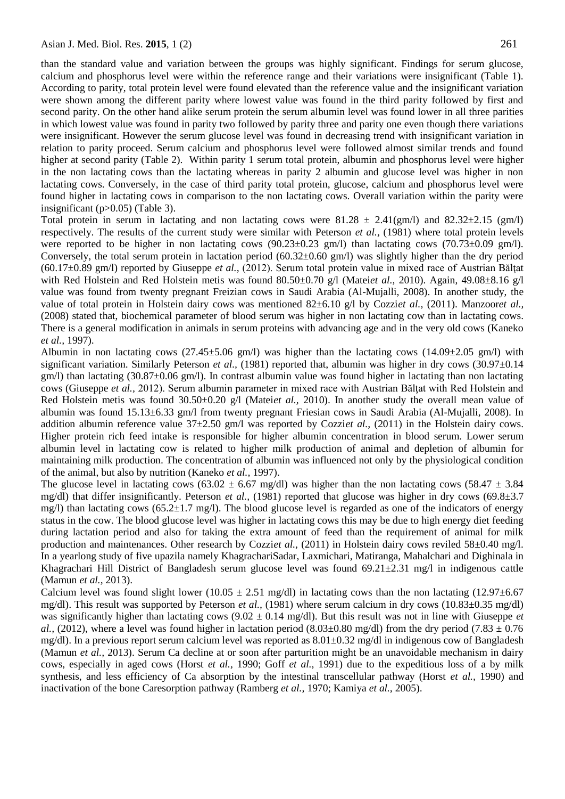than the standard value and variation between the groups was highly significant. Findings for serum glucose, calcium and phosphorus level were within the reference range and their variations were insignificant (Table 1). According to parity, total protein level were found elevated than the reference value and the insignificant variation were shown among the different parity where lowest value was found in the third parity followed by first and second parity. On the other hand alike serum protein the serum albumin level was found lower in all three parities in which lowest value was found in parity two followed by parity three and parity one even though there variations were insignificant. However the serum glucose level was found in decreasing trend with insignificant variation in relation to parity proceed. Serum calcium and phosphorus level were followed almost similar trends and found higher at second parity (Table 2). Within parity 1 serum total protein, albumin and phosphorus level were higher in the non lactating cows than the lactating whereas in parity 2 albumin and glucose level was higher in non lactating cows. Conversely, in the case of third parity total protein, glucose, calcium and phosphorus level were found higher in lactating cows in comparison to the non lactating cows. Overall variation within the parity were insignificant (p>0.05) (Table 3).

Total protein in serum in lactating and non lactating cows were  $81.28 \pm 2.41 \times (gm/l)$  and  $82.32 \pm 2.15 \times (gm/l)$ respectively. The results of the current study were similar with Peterson *et al.,* (1981) where total protein levels were reported to be higher in non lactating cows (90.23±0.23 gm/l) than lactating cows (70.73±0.09 gm/l). Conversely, the total serum protein in lactation period  $(60.32\pm0.60 \text{ gm/l})$  was slightly higher than the dry period  $(60.17\pm0.89 \text{ gm/l})$  reported by Giuseppe *et al.*,  $(2012)$ . Serum total protein value in mixed race of Austrian Băltat with Red Holstein and Red Holstein metis was found 80.50±0.70 g/l (Matei*et al.,* 2010). Again, 49.08±8.16 g/l value was found from twenty pregnant Freizian cows in Saudi Arabia (Al-Mujalli, 2008). In another study, the value of total protein in Holstein dairy cows was mentioned 82±6.10 g/l by Cozzi*et al.,* (2011). Manzoor*et al.,* (2008) stated that, biochemical parameter of blood serum was higher in non lactating cow than in lactating cows. There is a general modification in animals in serum proteins with advancing age and in the very old cows (Kaneko *et al.,* 1997).

Albumin in non lactating cows  $(27.45\pm5.06 \text{ gm/l})$  was higher than the lactating cows  $(14.09\pm2.05 \text{ gm/l})$  with significant variation. Similarly Peterson *et al.*, (1981) reported that, albumin was higher in dry cows (30.97 $\pm$ 0.14 gm/l) than lactating (30.87±0.06 gm/l). In contrast albumin value was found higher in lactating than non lactating cows (Giuseppe et al., 2012). Serum albumin parameter in mixed race with Austrian Băltat with Red Holstein and Red Holstein metis was found 30.50±0.20 g/l (Matei*et al.,* 2010). In another study the overall mean value of albumin was found 15.13±6.33 gm/l from twenty pregnant Friesian cows in Saudi Arabia (Al-Mujalli, 2008). In addition albumin reference value 37±2.50 gm/l was reported by Cozzi*et al.,* (2011) in the Holstein dairy cows. Higher protein rich feed intake is responsible for higher albumin concentration in blood serum. Lower serum albumin level in lactating cow is related to higher milk production of animal and depletion of albumin for maintaining milk production. The concentration of albumin was influenced not only by the physiological condition of the animal, but also by nutrition (Kaneko *et al.,* 1997).

The glucose level in lactating cows (63.02  $\pm$  6.67 mg/dl) was higher than the non lactating cows (58.47  $\pm$  3.84 mg/dl) that differ insignificantly. Peterson *et al.,* (1981) reported that glucose was higher in dry cows (69.8±3.7 mg/l) than lactating cows (65.2±1.7 mg/l). The blood glucose level is regarded as one of the indicators of energy status in the cow. The blood glucose level was higher in lactating cows this may be due to high energy diet feeding during lactation period and also for taking the extra amount of feed than the requirement of animal for milk production and maintenances. Other research by Cozziet al., (2011) in Holstein dairy cows reviled 58±0.40 mg/l. In a yearlong study of five upazila namely KhagrachariSadar, Laxmichari, Matiranga, Mahalchari and Dighinala in Khagrachari Hill District of Bangladesh serum glucose level was found  $69.21 \pm 2.31$  mg/l in indigenous cattle (Mamun *et al.,* 2013).

Calcium level was found slight lower (10.05  $\pm$  2.51 mg/dl) in lactating cows than the non lactating (12.97 $\pm$ 6.67 mg/dl). This result was supported by Peterson *et al.,* (1981) where serum calcium in dry cows (10.83±0.35 mg/dl) was significantly higher than lactating cows (9.02 ± 0.14 mg/dl). But this result was not in line with Giuseppe *et al.,* (2012), where a level was found higher in lactation period (8.03 $\pm$ 0.80 mg/dl) from the dry period (7.83  $\pm$  0.76 mg/dl). In a previous report serum calcium level was reported as  $8.01 \pm 0.32$  mg/dl in indigenous cow of Bangladesh (Mamun *et al.,* 2013). Serum Ca decline at or soon after parturition might be an unavoidable mechanism in dairy cows, especially in aged cows (Horst *et al.,* 1990; Goff *et al.,* 1991) due to the expeditious loss of a by milk synthesis, and less efficiency of Ca absorption by the intestinal transcellular pathway (Horst *et al.,* 1990) and inactivation of the bone Caresorption pathway (Ramberg *et al.,* 1970; Kamiya *et al.,* 2005).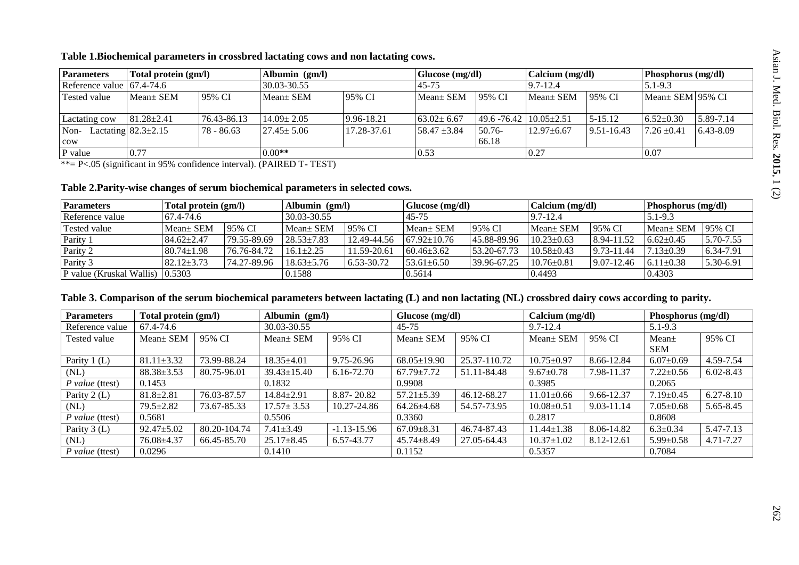### **Table 1.Biochemical parameters in crossbred lactating cows and non lactating cows.**

| <b>Parameters</b>                 | Total protein (gm/l)      |                 | Albumin $(gm/l)$ |             | Glucose (mg/dl)  |                                      | Calcium (mg/dl)  |                | Phosphorus (mg/dl)     |           |
|-----------------------------------|---------------------------|-----------------|------------------|-------------|------------------|--------------------------------------|------------------|----------------|------------------------|-----------|
| Reference value $\vert$ 67.4-74.6 |                           |                 | 30.03-30.55      |             | 45-75            |                                      | $9.7 - 12.4$     |                | $5.1 - 9.3$            |           |
| Tested value                      | $Mean \pm SEM$            | 95% CI          | Mean ± SEM       | 95% CI      | Mean + SEM       | 95% CI                               | Mean + SEM       | 95% CI         | $Mean \pm SEM$ 195% CI |           |
| Lactating cow                     | $81.28 \pm 2.41$          | $76.43 - 86.13$ | $14.09 \pm 2.05$ | 9.96-18.21  | $63.02 \pm 6.67$ | $149.6 - 76.42 \cdot 10.05 \pm 2.51$ |                  | $5 - 15.12$    | $6.52 \pm 0.30$        | 5.89-7.14 |
| Non-<br>cow                       | Lactating $82.3 \pm 2.15$ | 78 - 86.63      | $27.45 \pm 5.06$ | 17.28-37.61 | 58.47 $\pm 3.84$ | $50.76-$<br>66.18                    | $12.97 \pm 6.67$ | $9.51 - 16.43$ | $7.26 \pm 0.41$        | 6.43-8.09 |
| P value                           | 0.77                      |                 | $0.00**$         |             | 0.53             |                                      | 0.27             |                | 0.07                   |           |

\*\*= P<.05 (significant in 95% confidence interval). (PAIRED T- TEST)

### **Table 2.Parity-wise changes of serum biochemical parameters in selected cows.**

| <b>Parameters</b>                       | Total protein (gm/l) |             | Albumin (gm/l)   |                | Glucose (mg/dl)   |             | Calcium (mg/dl)  |                | <b>Phosphorus</b> (mg/dl) |               |
|-----------------------------------------|----------------------|-------------|------------------|----------------|-------------------|-------------|------------------|----------------|---------------------------|---------------|
| Reference value                         | 67.4-74.6            |             | 30.03-30.55      |                | 45-75             |             | $9.7 - 12.4$     |                | $5.1 - 9.3$               |               |
| <b>Tested value</b>                     | Mean + SEM           | 95% CI      | $Mean \pm SEM$   | 195% CI        | $Mean \pm SEM$    | 95% CI      | Mean + SEM       | 95% CI         | $Mean±$ SEM               | 195% CI       |
| Parity 1                                | $84.62 \pm 2.47$     | 79.55-89.69 | $28.53 \pm 7.83$ | 12.49-44.56    | $67.92 \pm 10.76$ | 45.88-89.96 | $10.23 \pm 0.63$ | 8.94-11.52     | $6.62 \pm 0.45$           | $5.70 - 7.55$ |
| Parity 2                                | $80.74 \pm 1.98$     | 76.76-84.72 | $16.1 \pm 2.25$  | 11.59-20.61    | $60.46 \pm 3.62$  | 53.20-67.73 | $10.58 \pm 0.43$ | $9.73 - 11.44$ | $7.13 \pm 0.39$           | 6.34-7.91     |
| Parity 3                                | $82.12 \pm 3.73$     | 74.27-89.96 | $18.63 + 5.76$   | $6.53 - 30.72$ | $53.61 \pm 6.50$  | 39.96-67.25 | $10.76 \pm 0.81$ | $9.07 - 12.46$ | $6.11 \pm 0.38$           | 5.30-6.91     |
| <b>P</b> value (Kruskal Wallis) 10.5303 |                      |             | 0.1588           |                | 0.5614            |             | 0.4493           |                | 0.4303                    |               |

## **Table 3. Comparison of the serum biochemical parameters between lactating (L) and non lactating (NL) crossbred dairy cows according to parity.**

| <b>Parameters</b>      | Total protein (gm/l) |              | Albumin $(gm/l)$  |                 | Glucose (mg/dl)   |              | Calcium (mg/dl)  |            | Phosphorus (mg/dl) |               |
|------------------------|----------------------|--------------|-------------------|-----------------|-------------------|--------------|------------------|------------|--------------------|---------------|
| Reference value        | 67.4-74.6            |              | 30.03-30.55       |                 | $45 - 75$         |              | $9.7 - 12.4$     |            | $5.1 - 9.3$        |               |
| Tested value           | Mean± SEM            | 95% CI       | Mean+ SEM         | 95% CI          | $Mean \pm SEM$    | 95% CI       | Mean ± SEM       | 95% CI     | Mean <sub>±</sub>  | 95% CI        |
|                        |                      |              |                   |                 |                   |              |                  |            | <b>SEM</b>         |               |
| Parity 1 (L)           | $81.11 \pm 3.32$     | 73.99-88.24  | $18.35 \pm 4.01$  | 9.75-26.96      | $68.05 \pm 19.90$ | 25.37-110.72 | $10.75 \pm 0.97$ | 8.66-12.84 | $6.07 \pm 0.69$    | 4.59-7.54     |
| (NL)                   | $88.38 \pm 3.53$     | 80.75-96.01  | $39.43 \pm 15.40$ | 6.16-72.70      | $67.79 \pm 7.72$  | 51.11-84.48  | $9.67 \pm 0.78$  | 7.98-11.37 | $7.22 \pm 0.56$    | $6.02 - 8.43$ |
| <i>P</i> value (ttest) | 0.1453               |              | 0.1832            |                 | 0.9908            |              | 0.3985           |            | 0.2065             |               |
| Parity 2 (L)           | $81.8 \pm 2.81$      | 76.03-87.57  | $14.84 \pm 2.91$  | 8.87 - 20.82    | $57.21 \pm 5.39$  | 46.12-68.27  | $11.01 \pm 0.66$ | 9.66-12.37 | $7.19 \pm 0.45$    | $6.27 - 8.10$ |
| (NL)                   | $79.5 \pm 2.82$      | 73.67-85.33  | $17.57 \pm 3.53$  | 10.27-24.86     | $64.26 \pm 4.68$  | 54.57-73.95  | $10.08 \pm 0.51$ | 9.03-11.14 | $7.05 \pm 0.68$    | 5.65-8.45     |
| $P$ value (ttest)      | 0.5681               |              | 0.5506            |                 | 0.3360            |              | 0.2817           |            | 0.8608             |               |
| Parity 3 (L)           | $92.47 \pm 5.02$     | 80.20-104.74 | $7.41 \pm 3.49$   | $-1.13 - 15.96$ | $67.09 + 8.31$    | 46.74-87.43  | $11.44 \pm 1.38$ | 8.06-14.82 | $6.3 \pm 0.34$     | 5.47-7.13     |
| (NL)                   | $76.08{\pm}4.37$     | 66.45-85.70  | $25.17 \pm 8.45$  | 6.57-43.77      | $45.74 \pm 8.49$  | 27.05-64.43  | $10.37 \pm 1.02$ | 8.12-12.61 | $5.99 \pm 0.58$    | 4.71-7.27     |
| $P$ value (ttest)      | 0.0296               |              | 0.1410            |                 | 0.1152            |              | 0.5357           |            | 0.7084             |               |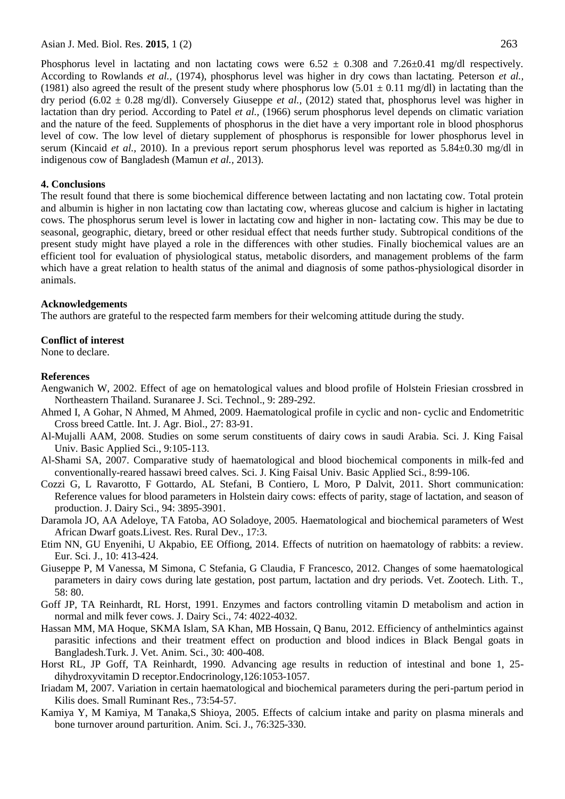Phosphorus level in lactating and non lactating cows were  $6.52 \pm 0.308$  and  $7.26\pm 0.41$  mg/dl respectively. According to Rowlands *et al.,* (1974), phosphorus level was higher in dry cows than lactating. Peterson *et al.,* (1981) also agreed the result of the present study where phosphorus low  $(5.01 \pm 0.11 \text{ mg/dl})$  in lactating than the dry period (6.02 ± 0.28 mg/dl). Conversely Giuseppe *et al.,* (2012) stated that, phosphorus level was higher in lactation than dry period. According to Patel *et al.,* (1966) serum phosphorus level depends on climatic variation and the nature of the feed. Supplements of phosphorus in the diet have a very important role in blood phosphorus level of cow. The low level of dietary supplement of phosphorus is responsible for lower phosphorus level in serum (Kincaid *et al.,* 2010). In a previous report serum phosphorus level was reported as 5.84±0.30 mg/dl in indigenous cow of Bangladesh (Mamun *et al.,* 2013).

### **4. Conclusions**

The result found that there is some biochemical difference between lactating and non lactating cow. Total protein and albumin is higher in non lactating cow than lactating cow, whereas glucose and calcium is higher in lactating cows. The phosphorus serum level is lower in lactating cow and higher in non- lactating cow. This may be due to seasonal, geographic, dietary, breed or other residual effect that needs further study. Subtropical conditions of the present study might have played a role in the differences with other studies. Finally biochemical values are an efficient tool for evaluation of physiological status, metabolic disorders, and management problems of the farm which have a great relation to health status of the animal and diagnosis of some pathos-physiological disorder in animals.

#### **Acknowledgements**

The authors are grateful to the respected farm members for their welcoming attitude during the study.

### **Conflict of interest**

None to declare.

#### **References**

- Aengwanich W, 2002. Effect of age on hematological values and blood profile of Holstein Friesian crossbred in Northeastern Thailand. Suranaree J. Sci. Technol., 9: 289-292.
- Ahmed I, A Gohar, N Ahmed, M Ahmed, 2009. Haematological profile in cyclic and non- cyclic and Endometritic Cross breed Cattle. Int. J. Agr. Biol., 27: 83-91.
- Al-Mujalli AAM, 2008. Studies on some serum constituents of dairy cows in saudi Arabia. Sci. J. King Faisal Univ. Basic Applied Sci., 9:105-113.
- Al-Shami SA, 2007. Comparative study of haematological and blood biochemical components in milk-fed and conventionally-reared hassawi breed calves. Sci. J. King Faisal Univ. Basic Applied Sci., 8:99-106.
- Cozzi G, L Ravarotto, F Gottardo, AL Stefani, B Contiero, L Moro, P Dalvit, 2011. Short communication: Reference values for blood parameters in Holstein dairy cows: effects of parity, stage of lactation, and season of production. J. Dairy Sci., 94: 3895-3901.
- Daramola JO, AA Adeloye, TA Fatoba, AO Soladoye, 2005. Haematological and biochemical parameters of West African Dwarf goats.Livest. Res. Rural Dev., 17:3.
- Etim NN, GU Enyenihi, U Akpabio, EE Offiong, 2014. Effects of nutrition on haematology of rabbits: a review. Eur. Sci. J., 10: 413-424.
- Giuseppe P, M Vanessa, M Simona, C Stefania, G Claudia, F Francesco, 2012. Changes of some haematological parameters in dairy cows during late gestation, post partum, lactation and dry periods. Vet. Zootech. Lith. T., 58: 80.
- Goff JP, TA Reinhardt, RL Horst, 1991. Enzymes and factors controlling vitamin D metabolism and action in normal and milk fever cows. J. Dairy Sci., 74: 4022-4032.
- Hassan MM, MA Hoque, SKMA Islam, SA Khan, MB Hossain, Q Banu, 2012. Efficiency of anthelmintics against parasitic infections and their treatment effect on production and blood indices in Black Bengal goats in Bangladesh.Turk. J. Vet. Anim. Sci., 30: 400-408.
- Horst RL, JP Goff, TA Reinhardt, 1990. Advancing age results in reduction of intestinal and bone 1, 25 dihydroxyvitamin D receptor.Endocrinology,126:1053-1057.
- Iriadam M, 2007. Variation in certain haematological and biochemical parameters during the peri-partum period in Kilis does. Small Ruminant Res., 73:54-57.
- Kamiya Y, M Kamiya, M Tanaka,S Shioya, 2005. Effects of calcium intake and parity on plasma minerals and bone turnover around parturition. Anim. Sci. J., 76:325-330.